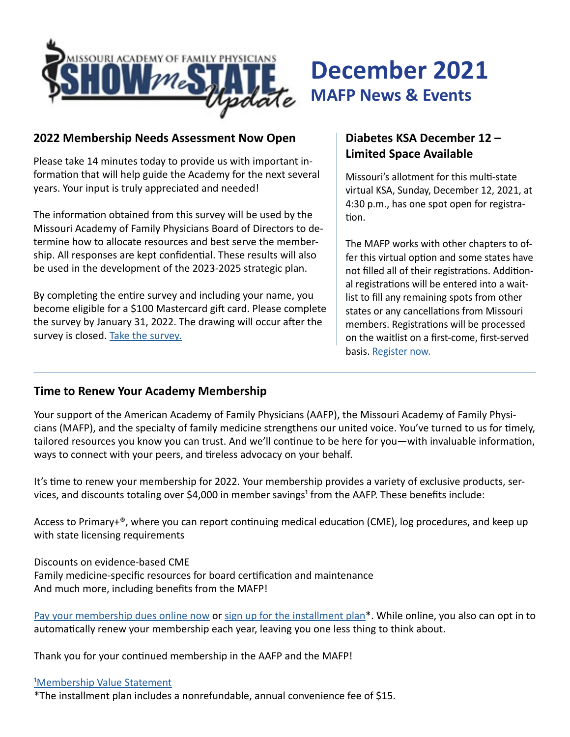

# **December 2021 MAFP News & Events**

#### **2022 Membership Needs Assessment Now Open**

Please take 14 minutes today to provide us with important information that will help guide the Academy for the next several years. Your input is truly appreciated and needed!

The information obtained from this survey will be used by the Missouri Academy of Family Physicians Board of Directors to determine how to allocate resources and best serve the membership. All responses are kept confidential. These results will also be used in the development of the 2023-2025 strategic plan.

By completing the entire survey and including your name, you become eligible for a \$100 Mastercard gift card. Please complete the survey by January 31, 2022. The drawing will occur after the survey is closed. [Take the survey.](https://www.surveymonkey.com/r/MAFPmembers)

### **Diabetes KSA December 12 – Limited Space Available**

Missouri's allotment for this multi-state virtual KSA, Sunday, December 12, 2021, at 4:30 p.m., has one spot open for registration.

The MAFP works with other chapters to offer this virtual option and some states have not filled all of their registrations. Additional registrations will be entered into a waitlist to fill any remaining spots from other states or any cancellations from Missouri members. Registrations will be processed on the waitlist on a first-come, first-served basis. [Register](https://moafp.formstack.com/forms/ksa) now.

#### **Time to Renew Your Academy Membership**

Your support of the American Academy of Family Physicians (AAFP), the Missouri Academy of Family Physicians (MAFP), and the specialty of family medicine strengthens our united voice. You've turned to us for timely, tailored resources you know you can trust. And we'll continue to be here for you—with invaluable information, ways to connect with your peers, and tireless advocacy on your behalf.

It's time to renew your membership for 2022. Your membership provides a variety of exclusive products, services, and discounts totaling over \$4,000 in member savings<sup>1</sup> from the AAFP. These benefits include:

Access to Primary+®, where you can report continuing medical education (CME), log procedures, and keep up with state licensing requirements

Discounts on evidence-based CME Family medicine-specific resources for board certification and maintenance And much more, including benefits from the MAFP!

[Pay your membership dues online now](https://www.aafp.org/ecommerce/quickpay?cmpid=_van_771) or [sign up for the installment plan\\*](http://www.aafp.org/checkmydues). While online, you also can opt in to automatically renew your membership each year, leaving you one less thing to think about.

Thank you for your continued membership in the AAFP and the MAFP!

#### <sup>1</sup>Membership Value Statement

\*The installment plan includes a nonrefundable, annual convenience fee of \$15.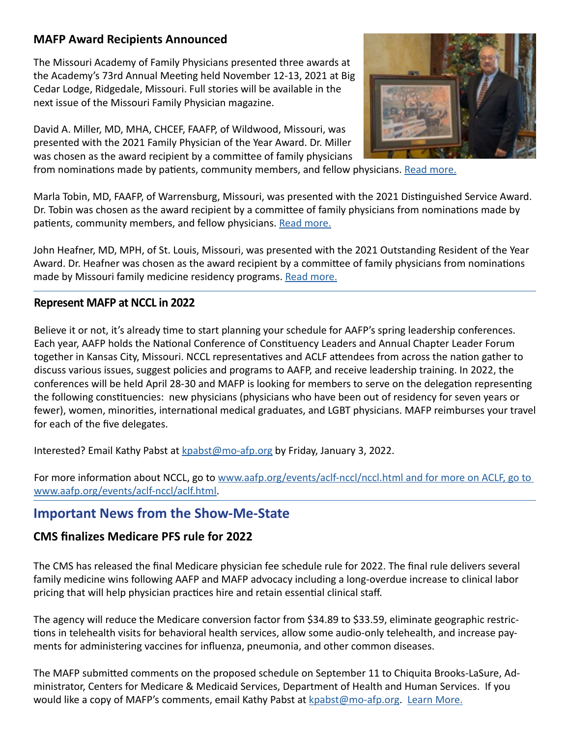#### **MAFP Award Recipients Announced**

The Missouri Academy of Family Physicians presented three awards at the Academy's 73rd Annual Meeting held November 12-13, 2021 at Big Cedar Lodge, Ridgedale, Missouri. Full stories will be available in the next issue of the Missouri Family Physician magazine.

David A. Miller, MD, MHA, CHCEF, FAAFP, of Wildwood, Missouri, was presented with the 2021 Family Physician of the Year Award. Dr. Miller was chosen as the award recipient by a committee of family physicians



from nominations made by patients, community members, and fellow physicians. [Read more.](https://www.mo-afp.org/wp-content/uploads/Press-Release-FPOY-2021.pdf)

Marla Tobin, MD, FAAFP, of Warrensburg, Missouri, was presented with the 2021 Distinguished Service Award. Dr. Tobin was chosen as the award recipient by a committee of family physicians from nominations made by patients, community members, and fellow physicians. [Read more.](https://www.mo-afp.org/wp-content/uploads/Press-Release-Distinguished-Service-2021.pdf)

John Heafner, MD, MPH, of St. Louis, Missouri, was presented with the 2021 Outstanding Resident of the Year Award. Dr. Heafner was chosen as the award recipient by a committee of family physicians from nominations made by Missouri family medicine residency programs. [Read more.](https://www.mo-afp.org/wp-content/uploads/Press-Release-Outstanding-Resident-2021.pdf)

#### **Represent MAFP at NCCL in 2022**

Believe it or not, it's already time to start planning your schedule for AAFP's spring leadership conferences. Each year, AAFP holds the National Conference of Constituency Leaders and Annual Chapter Leader Forum together in Kansas City, Missouri. NCCL representatives and ACLF attendees from across the nation gather to discuss various issues, suggest policies and programs to AAFP, and receive leadership training. In 2022, the conferences will be held April 28-30 and MAFP is looking for members to serve on the delegation representing the following constituencies: new physicians (physicians who have been out of residency for seven years or fewer), women, minorities, international medical graduates, and LGBT physicians. MAFP reimburses your travel for each of the five delegates.

Interested? Email Kathy Pabst at [kpabst@mo-afp.org](mailto:kpabst%40mo-afp.org?subject=) by Friday, January 3, 2022.

For more information about NCCL, go to www.aafp.org/events/aclf-nccl/nccl.html and for more on ACLF, go to [www.aafp.org/events/aclf-nccl/aclf.html](http://www.aafp.org/events/aclf-nccl/nccl.html and for more on ACLF, go to www.aafp.org/events/aclf-nccl/aclf.html).

## **Important News from the Show-Me-State**

#### **CMS finalizes Medicare PFS rule for 2022**

The CMS has released the final Medicare physician fee schedule rule for 2022. The final rule delivers several family medicine wins following AAFP and MAFP advocacy including a long-overdue increase to clinical labor pricing that will help physician practices hire and retain essential clinical staff.

The agency will reduce the Medicare conversion factor from \$34.89 to \$33.59, eliminate geographic restrictions in telehealth visits for behavioral health services, allow some audio-only telehealth, and increase payments for administering vaccines for influenza, pneumonia, and other common diseases.

The MAFP submitted comments on the proposed schedule on September 11 to Chiquita Brooks-LaSure, Administrator, Centers for Medicare & Medicaid Services, Department of Health and Human Services. If you would like a copy of MAFP's comments, email Kathy Pabst at [kpabst@mo-afp.org](mailto:kpabst%40mo-afp.org?subject=). [Learn More.](https://www.aafp.org/news/media-center/statements/2022-Medicare-Physician-Fee-Schedule.html)